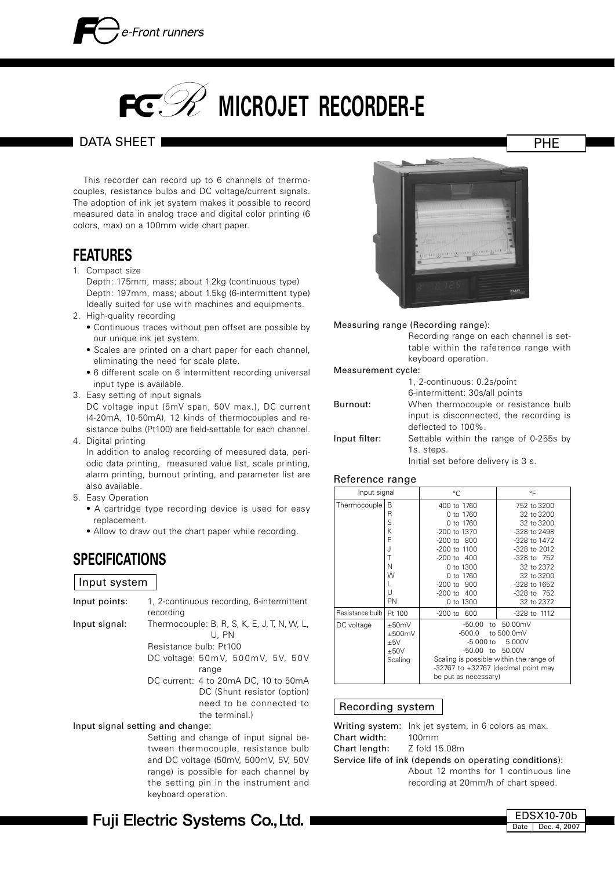

# **PC. 22 MICROJET RECORDER-E**

#### DATA SHEET I

 This recorder can record up to 6 channels of thermocouples, resistance bulbs and DC voltage/current signals. The adoption of ink jet system makes it possible to record measured data in analog trace and digital color printing (6 colors, max) on a 100mm wide chart paper.

### **FEATURES**

- 1. Compact size
	- Depth: 175mm, mass; about 1.2kg (continuous type) Depth: 197mm, mass; about 1.5kg (6-intermittent type) Ideally suited for use with machines and equipments.
- 2. High-quality recording
	- Continuous traces without pen offset are possible by our unique ink jet system.
	- Scales are printed on a chart paper for each channel, eliminating the need for scale plate.
	- 6 different scale on 6 intermittent recording universal input type is available.
- 3. Easy setting of input signals

 DC voltage input (5mV span, 50V max.), DC current (4-20mA, 10-50mA), 12 kinds of thermocouples and resistance bulbs (Pt100) are field-settable for each channel.

4. Digital printing In addition to analog recording of measured data, periodic data printing, measured value list, scale printing, alarm printing, burnout printing, and parameter list are also available.

- 5. Easy Operation
	- A cartridge type recording device is used for easy replacement.
	- Allow to draw out the chart paper while recording.

### **SPECIFICATIONS**

#### Input system

| Input points:                    | recording                                            |                | 1, 2-continuous recording, 6-intermittent   |  |  |  |
|----------------------------------|------------------------------------------------------|----------------|---------------------------------------------|--|--|--|
| Input signal:                    | Thermocouple: B, R, S, K, E, J, T, N, W, L,<br>U. PN |                |                                             |  |  |  |
|                                  | Resistance bulb: Pt100                               |                |                                             |  |  |  |
|                                  |                                                      |                | DC voltage: $50mV$ , $500mV$ , $5V$ , $50V$ |  |  |  |
|                                  |                                                      | range          |                                             |  |  |  |
|                                  |                                                      |                | DC current: 4 to 20mA DC, 10 to 50mA        |  |  |  |
|                                  |                                                      |                | DC (Shunt resistor (option)                 |  |  |  |
|                                  | need to be connected to                              |                |                                             |  |  |  |
|                                  |                                                      | the terminal.) |                                             |  |  |  |
| Input signal setting and change: |                                                      |                |                                             |  |  |  |

 Setting and change of input signal between thermocouple, resistance bulb and DC voltage (50mV, 500mV, 5V, 50V range) is possible for each channel by the setting pin in the instrument and keyboard operation.



#### Measuring range (Recording range):

 Recording range on each channel is settable within the raference range with keyboard operation.

#### Measurement cycle:

|               | 1, 2-continuous: 0.2s/point             |
|---------------|-----------------------------------------|
|               | 6-intermittent: 30s/all points          |
| Burnout:      | When thermocouple or resistance bulb    |
|               | input is disconnected, the recording is |
|               | deflected to 100%.                      |
| Input filter: | Settable within the range of 0-255s by  |
|               | 1s. steps.                              |
|               | Initial set before delivery is 3 s.     |

#### Reference range

| Input signal      |                                               | $^{\circ}$ C                                                                                                                                           | °F                                           |
|-------------------|-----------------------------------------------|--------------------------------------------------------------------------------------------------------------------------------------------------------|----------------------------------------------|
| Thermocouple      | B                                             | 400 to 1760                                                                                                                                            | 752 to 3200                                  |
|                   | R                                             | 0 to 1760                                                                                                                                              | 32 to 3200                                   |
|                   | S                                             | 0 to 1760                                                                                                                                              | 32 to 3200                                   |
|                   | K                                             | -200 to 1370                                                                                                                                           | -328 to 2498                                 |
|                   | E                                             | $-200$ to $800$                                                                                                                                        | -328 to 1472                                 |
|                   | J                                             | $-200$ to $1100$                                                                                                                                       | $-328$ to $2012$                             |
|                   | T                                             | $-200$ to $400$                                                                                                                                        | -328 to 752                                  |
|                   | N                                             | 0 to 1300                                                                                                                                              | 32 to 2372                                   |
|                   | W                                             | $0 \text{ to } 1760$                                                                                                                                   | 32 to 3200                                   |
|                   |                                               | $-200$ to $900$                                                                                                                                        | -328 to 1652                                 |
|                   | U                                             | -200 to 400                                                                                                                                            | -328 to 752                                  |
|                   | PN                                            | 0 to 1300                                                                                                                                              | 32 to 2372                                   |
| Resistance bulb I | Pt 100                                        | $-200$ to $600$                                                                                                                                        | -328 to 1112                                 |
| DC voltage        | $+50mV$<br>±500mV<br>$+5V$<br>±50V<br>Scaling | -50.00<br>-500.0<br>$-5.000$ to<br>-50.00 to<br>Scaling is possible within the range of<br>-32767 to +32767 (decimal point may<br>be put as necessary) | to 50.00mV<br>to 500.0mV<br>5.000V<br>50.00V |

#### Recording system

|                                    | Writing system: lnk jet system, in 6 colors as max.                          |
|------------------------------------|------------------------------------------------------------------------------|
| Chart width: 100mm                 |                                                                              |
| <b>Chart length:</b> Z fold 15.08m |                                                                              |
|                                    | Service life of ink (depends on operating conditions):                       |
|                                    | About 12 months for 1 continuous line<br>recording at 20mm/h of chart speed. |

■ Fuji Electric Systems Co.,Ltd. I

EDSX10-70b Date Dec. 4, 2007

PHE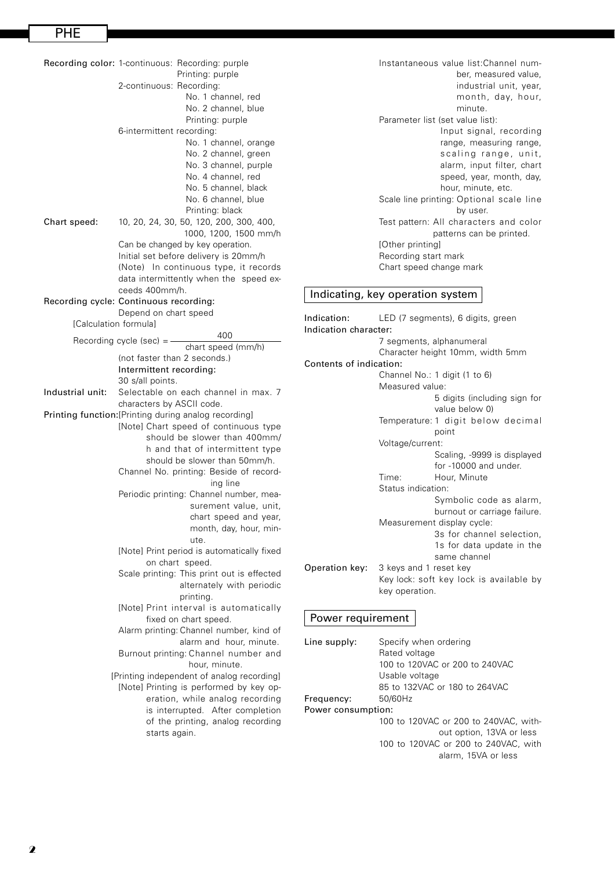Recording color: 1-continuous: Recording: purple Printing: purple 2-continuous: Recording: No. 1 channel, red No. 2 channel, blue Printing: purple 6-intermittent recording: No. 1 channel, orange No. 2 channel, green No. 3 channel, purple No. 4 channel, red No. 5 channel, black No. 6 channel, blue Printing: black Chart speed: 10, 20, 24, 30, 50, 120, 200, 300, 400, 1000, 1200, 1500 mm/h Can be changed by key operation. Initial set before delivery is 20mm/h (Note) In continuous type, it records data intermittently when the speed exceeds 400mm/h. Recording cycle: Continuous recording: Depend on chart speed [Calculation formula] Recording cycle (sec) =  $\frac{400}{100}$  chart speed (mm/h) (not faster than 2 seconds.) Intermittent recording: 30 s/all points. Industrial unit: Selectable on each channel in max. 7 characters by ASCII code. Printing function:[Printing during analog recording] [Note] Chart speed of continuous type should be slower than 400mm/ h and that of intermittent type should be slower than 50mm/h. Channel No. printing: Beside of recording line Periodic printing: Channel number, measurement value, unit, chart speed and year, month, day, hour, minute. [Note] Print period is automatically fixed on chart speed. Scale printing: This print out is effected alternately with periodic printing. [Note] Print interval is automatically fixed on chart speed. Alarm printing: Channel number, kind of alarm and hour, minute. Burnout printing: Channel number and hour, minute. [Printing independent of analog recording] [Note] Printing is performed by key operation, while analog recording is interrupted. After completion of the printing, analog recording starts again.

 Instantaneous value list:Channel number, measured value, industrial unit, year, month, day, hour, minute. Parameter list (set value list): Input signal, recording range, measuring range, scaling range, unit, alarm, input filter, chart speed, year, month, day, hour, minute, etc. Scale line printing: Optional scale line by user. Test pattern: All characters and color patterns can be printed. [Other printing] Recording start mark Chart speed change mark

#### Indicating, key operation system

Indication: LED (7 segments), 6 digits, green Indication character: 7 segments, alphanumeral Character height 10mm, width 5mm Contents of indication: Channel No.: 1 digit (1 to 6) Measured value: 5 digits (including sign for value below 0) Temperature: 1 digit below decimal point Voltage/current: Scaling, -9999 is displayed for -10000 and under. Time: Hour, Minute Status indication: Symbolic code as alarm, burnout or carriage failure. Measurement display cycle: 3s for channel selection, 1s for data update in the same channel Operation key: 3 keys and 1 reset key Key lock: soft key lock is available by key operation.

#### Power requirement

| Line supply:       | Specify when ordering                 |
|--------------------|---------------------------------------|
|                    | Rated voltage                         |
|                    | 100 to 120VAC or 200 to 240VAC        |
|                    | Usable voltage                        |
|                    | 85 to 132VAC or 180 to 264VAC         |
| Frequency:         | 50/60Hz                               |
| Power consumption: |                                       |
|                    | 100 to 120VAC or 200 to 240VAC, with- |
|                    | out option, 13VA or less              |
|                    | 100 to 120VAC or 200 to 240VAC, with  |
|                    | alarm, 15VA or less                   |
|                    |                                       |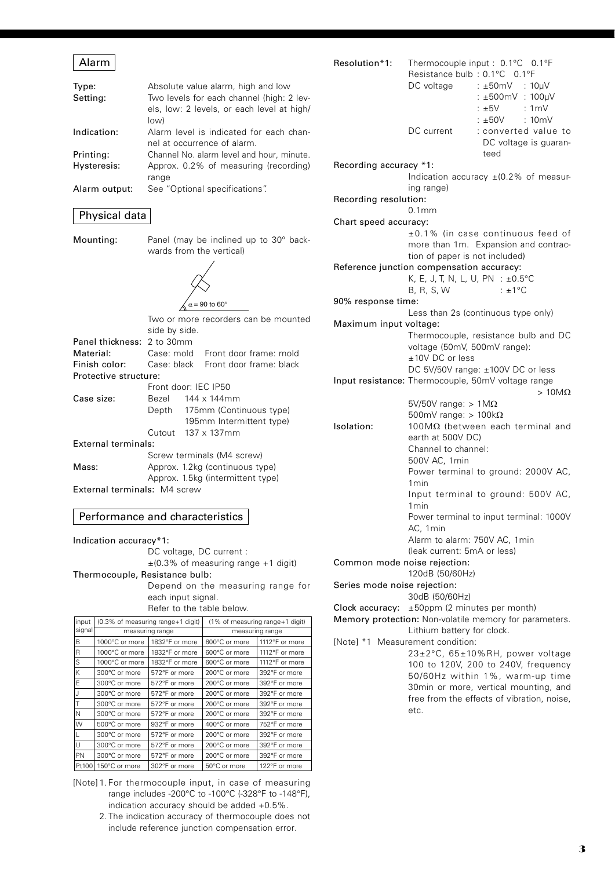### Alarm

| Type:         | Absolute value alarm, high and low         |
|---------------|--------------------------------------------|
| Setting:      | Two levels for each channel (high: 2 lev-  |
|               | els, low: 2 levels, or each level at high/ |
|               | low)                                       |
| Indication:   | Alarm level is indicated for each chan-    |
|               | nel at occurrence of alarm.                |
| Printing:     | Channel No. alarm level and hour, minute.  |
| Hysteresis:   | Approx. 0.2% of measuring (recording)      |
|               | range                                      |
| Alarm output: | See "Optional specifications".             |
|               |                                            |

#### Physical data

Mounting: Panel (may be inclined up to 30° backwards from the vertical)

 $\alpha$  = 90 to 60°

|                            | Two or more recorders can be mounted<br>side by side. |  |                                     |  |
|----------------------------|-------------------------------------------------------|--|-------------------------------------|--|
| Panel thickness: 2 to 30mm |                                                       |  |                                     |  |
| Material:                  |                                                       |  | Case: mold Front door frame: mold   |  |
| Finish color:              |                                                       |  | Case: black Front door frame: black |  |
| Protective structure:      |                                                       |  |                                     |  |
|                            | Front door: IEC IP50                                  |  |                                     |  |
| Case size:                 | 144 x 144mm<br>Bezel                                  |  |                                     |  |
|                            | Depth 175mm (Continuous type)                         |  |                                     |  |
|                            |                                                       |  | 195mm Intermittent type)            |  |
|                            |                                                       |  | Cutout $137 \times 137$ mm          |  |
| External terminals:        |                                                       |  |                                     |  |
|                            |                                                       |  | Screw terminals (M4 screw)          |  |
| Mass:                      | Approx. 1.2kg (continuous type)                       |  |                                     |  |
|                            | Approx. 1.5kg (intermittent type)                     |  |                                     |  |

External terminals: M4 screw

#### Performance and characteristics

Indication accuracy\*1: DC voltage, DC current : ±(0.3% of measuring range +1 digit) Thermocouple, Resistance bulb: Depend on the measuring range for each input signal. Refer to the table below.

| linput |                | (0.3% of measuring range+1 digit) | (1% of measuring range+1 digit) |                |  |  |
|--------|----------------|-----------------------------------|---------------------------------|----------------|--|--|
| signal |                | measuring range                   | measuring range                 |                |  |  |
| B      | 1000°C or more | 1832°F or more                    | 600°C or more                   | 1112°F or more |  |  |
| R      | 1000°C or more | 1832°F or more                    | 600°C or more                   | 1112°F or more |  |  |
| S      | 1000°C or more | 1832°F or more                    | 600°C or more                   | 1112°F or more |  |  |
| K      | 300°C or more  | 572°F or more                     | 200°C or more                   | 392°F or more  |  |  |
| F      | 300°C or more  | 572°F or more                     | 200°C or more                   | 392°F or more  |  |  |
|        | 300°C or more  | 572°F or more                     | 200°C or more                   | 392°F or more  |  |  |
|        | 300°C or more  | 572°F or more                     | 200°C or more                   | 392°F or more  |  |  |
| N      | 300°C or more  | 572°F or more                     | 200°C or more                   | 392°F or more  |  |  |
| W      | 500°C or more  | 932°F or more                     | 400°C or more                   | 752°F or more  |  |  |
|        | 300°C or more  | 572°F or more                     | 200°C or more                   | 392°F or more  |  |  |
| U      | 300°C or more  | 572°F or more                     | 200°C or more                   | 392°F or more  |  |  |
| PN     | 300°C or more  | 572°F or more                     | 200°C or more                   | 392°F or more  |  |  |
| Pt100  | 150°C or more  | 302°F or more                     | 50°C or more                    | 122°F or more  |  |  |

- [Note] 1. For thermocouple input, in case of measuring range includes -200°C to -100°C (-328°F to -148°F), indication accuracy should be added +0.5%.
	- 2. The indication accuracy of thermocouple does not include reference junction compensation error.

|                              | Thermocouple input : 0.1°C 0.1°F<br>Resistance bulb: 0.1°C 0.1°F<br>DC voltage : ±50mV : 10µV<br>: ±500mV : 100µV<br>$:±5V$ : 1mV<br>$: \pm 50V$ : 10mV |
|------------------------------|---------------------------------------------------------------------------------------------------------------------------------------------------------|
|                              | DC current<br>: converted value to<br>DC voltage is guaran-<br>teed                                                                                     |
| Recording accuracy *1:       |                                                                                                                                                         |
| Recording resolution:        | Indication accuracy $\pm$ (0.2% of measur-<br>ing range)                                                                                                |
|                              | 0.1mm                                                                                                                                                   |
| Chart speed accuracy:        |                                                                                                                                                         |
|                              | ±0.1% (in case continuous feed of<br>more than 1m. Expansion and contrac-<br>tion of paper is not included)                                             |
|                              | Reference junction compensation accuracy:                                                                                                               |
|                              | K, E, J, T, N, L, U, PN : ±0.5°C                                                                                                                        |
|                              | B, R, S, W<br>$\pm 1^{\circ}$ C                                                                                                                         |
| 90% response time:           |                                                                                                                                                         |
| Maximum input voltage:       | Less than 2s (continuous type only)                                                                                                                     |
|                              | Thermocouple, resistance bulb and DC                                                                                                                    |
|                              | voltage (50mV, 500mV range):                                                                                                                            |
|                              | ±10V DC or less                                                                                                                                         |
|                              | DC 5V/50V range: ±100V DC or less                                                                                                                       |
|                              | Input resistance: Thermocouple, 50mV voltage range                                                                                                      |
|                              | $>10M\Omega$                                                                                                                                            |
|                              | 5V/50V range: $> 1M\Omega$                                                                                                                              |
|                              |                                                                                                                                                         |
| Isolation:                   | 500mV range: $> 100k\Omega$                                                                                                                             |
|                              | $100\text{M}\Omega$ (between each terminal and<br>earth at 500V DC)                                                                                     |
|                              | Channel to channel:                                                                                                                                     |
|                              | 500V AC, 1min                                                                                                                                           |
|                              | Power terminal to ground: 2000V AC,                                                                                                                     |
|                              | 1 <sub>min</sub>                                                                                                                                        |
|                              | Input terminal to ground: 500V AC,<br>1 <sub>min</sub>                                                                                                  |
|                              | Power terminal to input terminal: 1000V<br>AC, 1min                                                                                                     |
|                              | Alarm to alarm: 750V AC, 1min                                                                                                                           |
|                              | (leak current: 5mA or less)                                                                                                                             |
| Common mode noise rejection: |                                                                                                                                                         |
|                              | 120dB (50/60Hz)                                                                                                                                         |
| Series mode noise rejection: |                                                                                                                                                         |
|                              | 30dB (50/60Hz)                                                                                                                                          |
|                              | Clock accuracy: $\pm 50$ ppm (2 minutes per month)<br>Memory protection: Non-volatile memory for parameters.                                            |
|                              | Lithium battery for clock.                                                                                                                              |
|                              | [Note] *1 Measurement condition:                                                                                                                        |
|                              | 23±2°C, 65±10%RH, power voltage                                                                                                                         |
|                              | 100 to 120V, 200 to 240V, frequency                                                                                                                     |
|                              | 50/60Hz within 1%, warm-up time<br>30min or more, vertical mounting, and                                                                                |
|                              | free from the effects of vibration, noise,                                                                                                              |
|                              | etc.                                                                                                                                                    |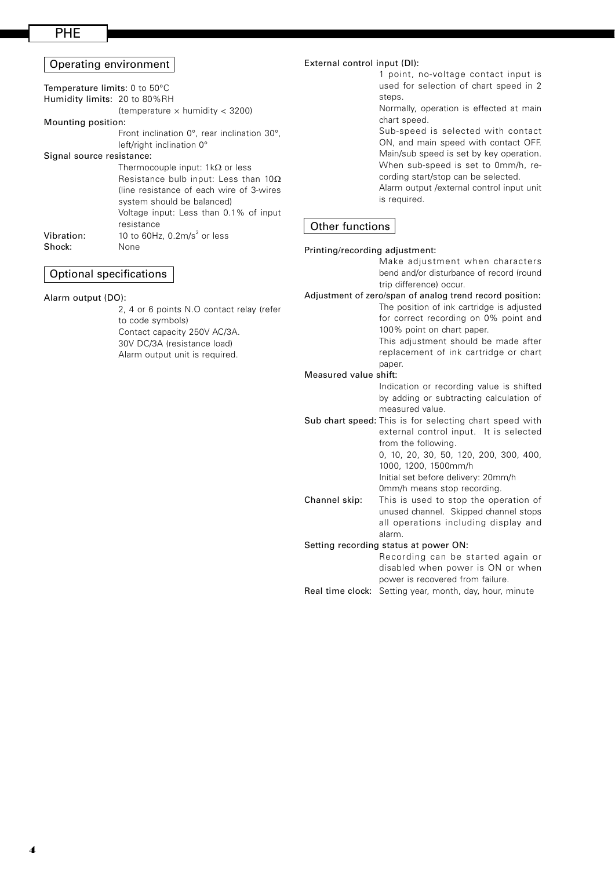#### PHE

#### Operating environment Temperature limits: 0 to 50°C Humidity limits: 20 to 80%RH (temperature  $\times$  humidity  $<$  3200) Mounting position: Front inclination 0°, rear inclination 30°, left/right inclination 0° Signal source resistance: Thermocouple input:  $1k\Omega$  or less Resistance bulb input: Less than  $10\Omega$ (line resistance of each wire of 3-wires system should be balanced) Voltage input: Less than 0.1% of input resistance **Vibration:**  $10$  to 60Hz, 0.2m/s<sup>2</sup> or less Shock: None

#### Optional specifications

Alarm output (DO):

 2, 4 or 6 points N.O contact relay (refer to code symbols) Contact capacity 250V AC/3A. 30V DC/3A (resistance load) Alarm output unit is required.

#### External control input (DI):

 1 point, no-voltage contact input is used for selection of chart speed in 2 steps.

 Normally, operation is effected at main chart speed.

 Sub-speed is selected with contact ON, and main speed with contact OFF. Main/sub speed is set by key operation. When sub-speed is set to 0mm/h, recording start/stop can be selected.

 Alarm output /external control input unit is required.

#### Other functions

#### Printing/recording adjustment:

 Make adjustment when characters bend and/or disturbance of record (round trip difference) occur.

Adjustment of zero/span of analog trend record position: The position of ink cartridge is adjusted for correct recording on 0% point and 100% point on chart paper.

 This adjustment should be made after replacement of ink cartridge or chart paper.

#### Measured value shift:

 Indication or recording value is shifted by adding or subtracting calculation of measured value.

Sub chart speed: This is for selecting chart speed with external control input. It is selected from the following. 0, 10, 20, 30, 50, 120, 200, 300, 400,

1000, 1200, 1500mm/h Initial set before delivery: 20mm/h

 0mm/h means stop recording. Channel skip: This is used to stop the operation of

unused channel. Skipped channel stops all operations including display and alarm.

#### Setting recording status at power ON:

 Recording can be started again or disabled when power is ON or when power is recovered from failure.

Real time clock: Setting year, month, day, hour, minute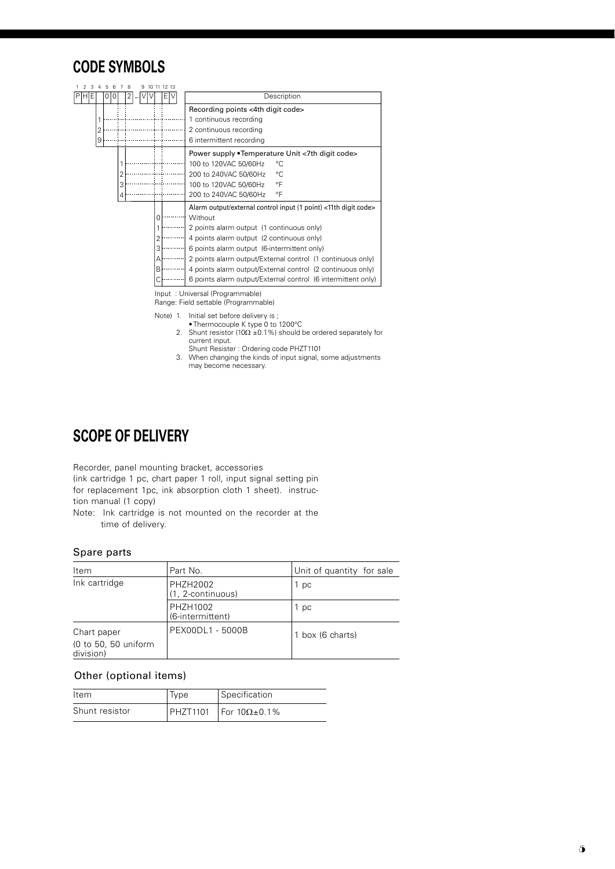### **CODE SYMBOLS**

|       | 5 |               |   |  |                     |   |  |                                                                 |  |  |
|-------|---|---------------|---|--|---------------------|---|--|-----------------------------------------------------------------|--|--|
| PIHEI | 0 |               | 2 |  |                     |   |  | Description                                                     |  |  |
|       |   |               |   |  |                     |   |  | Recording points <4th digit code>                               |  |  |
|       |   |               |   |  |                     |   |  | 1 continuous recording                                          |  |  |
|       |   |               |   |  |                     |   |  | 2 continuous recording                                          |  |  |
| 9     |   |               |   |  |                     |   |  | 6 intermittent recording                                        |  |  |
|       |   |               |   |  |                     |   |  | Power supply • Temperature Unit < 7th digit code>               |  |  |
|       |   |               |   |  |                     |   |  | 100 to 120VAC 50/60Hz<br>°C                                     |  |  |
|       |   |               |   |  |                     |   |  | °C<br>200 to 240VAC 50/60Hz                                     |  |  |
|       |   |               |   |  |                     |   |  | °F<br>100 to 120VAC 50/60Hz                                     |  |  |
|       |   |               |   |  |                     |   |  | $\circ$ F<br>200 to 240VAC 50/60Hz                              |  |  |
|       |   |               |   |  |                     |   |  | Alarm output/external control input (1 point) <11th digit code> |  |  |
|       |   |               |   |  |                     |   |  | Without                                                         |  |  |
|       |   |               |   |  |                     |   |  | 2 points alarm output (1 continuous only)                       |  |  |
|       |   |               |   |  |                     |   |  | 4 points alarm output (2 continuous only)                       |  |  |
|       |   |               |   |  |                     | 3 |  | 6 points alarm output (6-intermittent only)                     |  |  |
|       |   |               |   |  |                     | А |  | 2 points alarm output/External control (1 continuous only)      |  |  |
|       |   |               |   |  |                     | B |  | 4 points alarm output/External control (2 continuous only)      |  |  |
|       |   |               |   |  |                     |   |  | 6 points alarm output/External control (6 intermittent only)    |  |  |
|       |   | 6<br>$\left($ |   |  | $\overline{7}$<br>8 |   |  | 9 10 11 12 13<br>E١                                             |  |  |

Input : Universal (Programmable)

Range: Field settable (Programmable)

- Note) 1. Initial set before delivery is ; • Thermocouple K type 0 to 1200°C
	- 2. Shunt resistor ( $10\Omega$  ±0.1%) should be ordered separately for current input.
- Shunt Resister : Ordering code PHZT1101
- 3. When changing the kinds of input signal, some adjustments may become necessary.

### **SCOPE OF DELIVERY**

Recorder, panel mounting bracket, accessories (ink cartridge 1 pc, chart paper 1 roll, input signal setting pin for replacement 1pc, ink absorption cloth 1 sheet). instruction manual (1 copy)

Note: Ink cartridge is not mounted on the recorder at the time of delivery.

#### Spare parts

| Item                              | Part No.                      | Unit of quantity for sale |
|-----------------------------------|-------------------------------|---------------------------|
| Ink cartridge                     | PHZH2002<br>(1, 2-continuous) | 1 pc                      |
|                                   | PHZH1002<br>(6-intermittent)  | 1 pc                      |
| Chart paper                       | PEX00DL1 - 5000B              | 1 box (6 charts)          |
| (0 to 50, 50 uniform<br>division) |                               |                           |

#### Other (optional items)

| <b>Item</b>    | Type | Specification                       |
|----------------|------|-------------------------------------|
| Shunt resistor |      | PHZT1101   For $10\Omega \pm 0.1\%$ |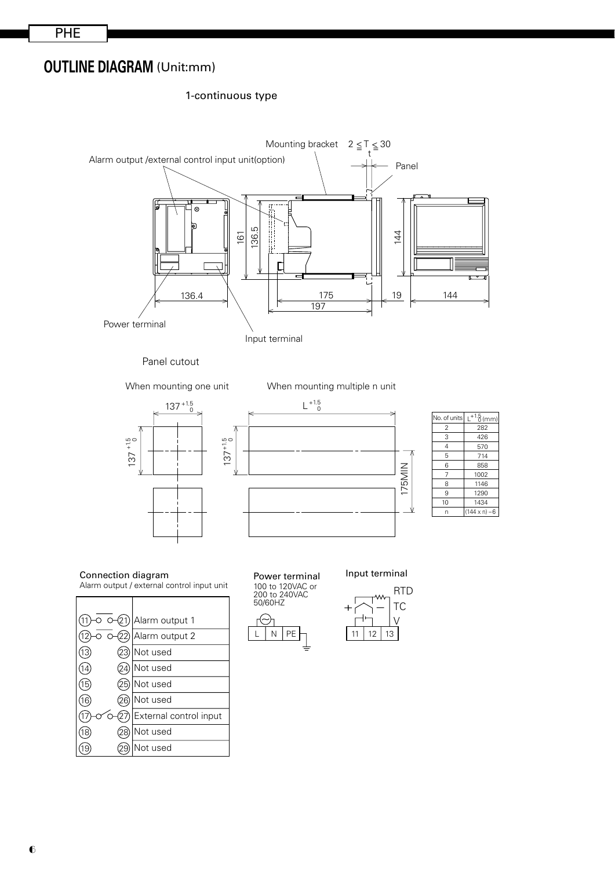### **OUTLINE DIAGRAM** (Unit:mm)

#### 1-continuous type



Panel cutout

When mounting one unit When mounting multiple n unit





| No. of units   | $+1.5$ (mm)          |
|----------------|----------------------|
| $\overline{2}$ | 282                  |
| 3              | 426                  |
| 4              | 570                  |
| 5              | 714                  |
| 6              | 858                  |
| 7              | 1002                 |
| 8              | 1146                 |
| 9              | 1290                 |
| 10             | 1434                 |
| n              | $(144 \times n) - 6$ |

Connection diagram Alarm output / external control input unit





 $\overline{\mathfrak{S}}$ 



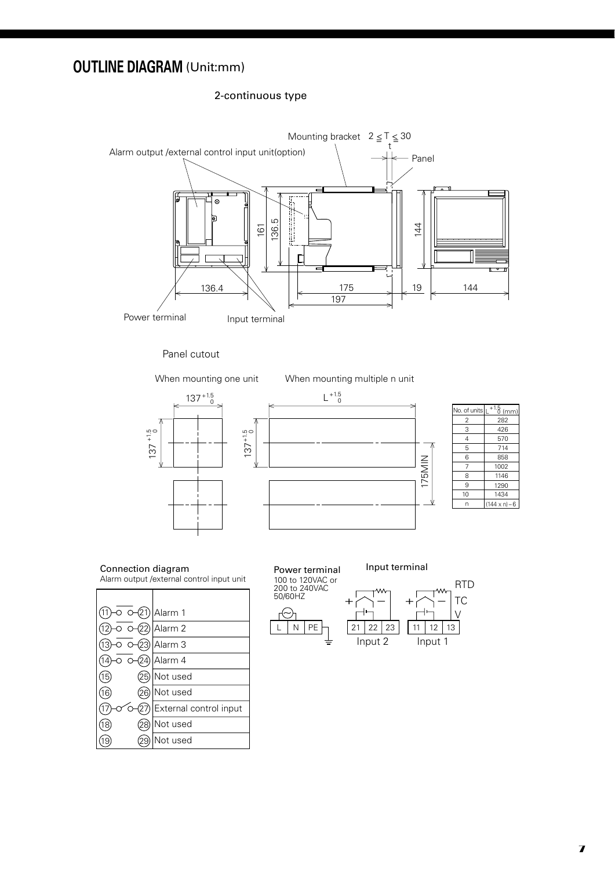### **OUTLINE DIAGRAM** (Unit:mm)

#### 2-continuous type



#### Panel cutout

When mounting one unit When mounting multiple n unit





| No. of units | $+1.5$ (mm)          |
|--------------|----------------------|
| 2            | 282                  |
| 3            | 426                  |
| 4            | 570                  |
| 5            | 714                  |
| 6            | 858                  |
| 7            | 1002                 |
| 8            | 1146                 |
| 9            | 1290                 |
| 10           | 1434                 |
| n            | $(144 \times n) - 6$ |
|              |                      |

## Alarm output /external control input unit

|    | (21 | Alarm 1                |
|----|-----|------------------------|
|    |     | Alarm <sub>2</sub>     |
|    |     | Alarm 3                |
|    |     | Alarm 4                |
| 15 |     | Not used               |
| 16 |     | Not used               |
|    |     | External control input |
|    |     | Not used               |
|    |     | Not used               |